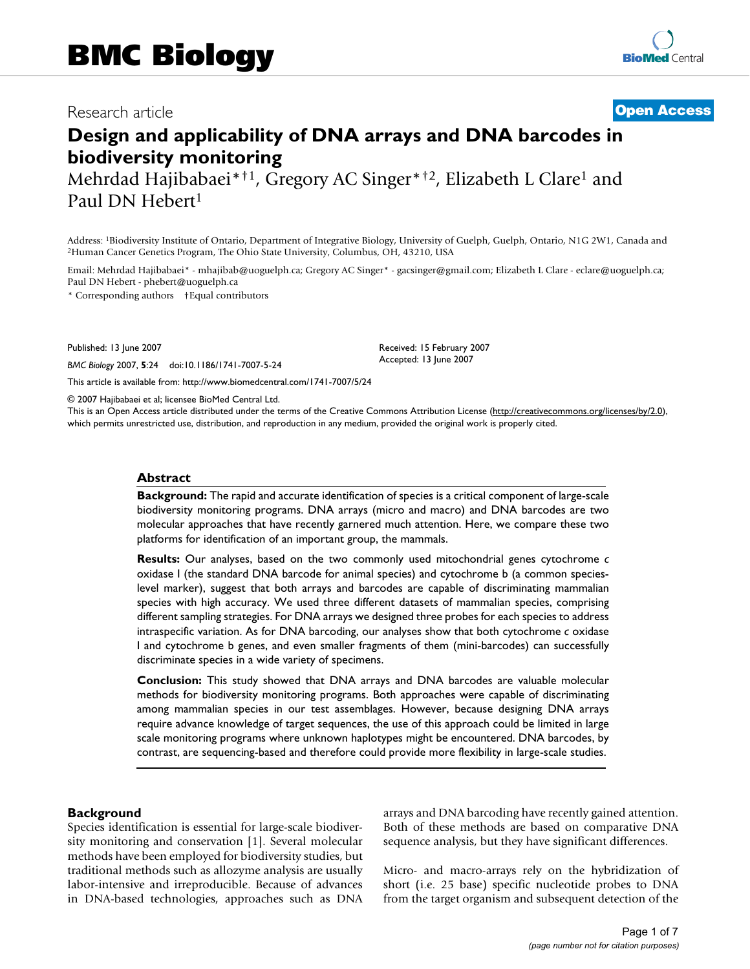# Research article **[Open Access](http://www.biomedcentral.com/info/about/charter/)**

# **Design and applicability of DNA arrays and DNA barcodes in biodiversity monitoring**

Mehrdad Hajibabaei\*<sup>†1</sup>, Gregory AC Singer<sup>\*†2</sup>, Elizabeth L Clare<sup>1</sup> and Paul DN Hebert<sup>1</sup>

Address: <sup>1</sup>Biodiversity Institute of Ontario, Department of Integrative Biology, University of Guelph, Guelph, Ontario, N1G 2W1, Canada and <sup>2</sup>Human Cancer Genetics Program, The Ohio State University, Columbus, OH, 43210,

Email: Mehrdad Hajibabaei\* - mhajibab@uoguelph.ca; Gregory AC Singer\* - gacsinger@gmail.com; Elizabeth L Clare - eclare@uoguelph.ca; Paul DN Hebert - phebert@uoguelph.ca

\* Corresponding authors †Equal contributors

Published: 13 June 2007

*BMC Biology* 2007, **5**:24 doi:10.1186/1741-7007-5-24

[This article is available from: http://www.biomedcentral.com/1741-7007/5/24](http://www.biomedcentral.com/1741-7007/5/24)

© 2007 Hajibabaei et al; licensee BioMed Central Ltd.

This is an Open Access article distributed under the terms of the Creative Commons Attribution License [\(http://creativecommons.org/licenses/by/2.0\)](http://creativecommons.org/licenses/by/2.0), which permits unrestricted use, distribution, and reproduction in any medium, provided the original work is properly cited.

Received: 15 February 2007 Accepted: 13 June 2007

#### **Abstract**

**Background:** The rapid and accurate identification of species is a critical component of large-scale biodiversity monitoring programs. DNA arrays (micro and macro) and DNA barcodes are two molecular approaches that have recently garnered much attention. Here, we compare these two platforms for identification of an important group, the mammals.

**Results:** Our analyses, based on the two commonly used mitochondrial genes cytochrome *c* oxidase I (the standard DNA barcode for animal species) and cytochrome b (a common specieslevel marker), suggest that both arrays and barcodes are capable of discriminating mammalian species with high accuracy. We used three different datasets of mammalian species, comprising different sampling strategies. For DNA arrays we designed three probes for each species to address intraspecific variation. As for DNA barcoding, our analyses show that both cytochrome *c* oxidase I and cytochrome b genes, and even smaller fragments of them (mini-barcodes) can successfully discriminate species in a wide variety of specimens.

**Conclusion:** This study showed that DNA arrays and DNA barcodes are valuable molecular methods for biodiversity monitoring programs. Both approaches were capable of discriminating among mammalian species in our test assemblages. However, because designing DNA arrays require advance knowledge of target sequences, the use of this approach could be limited in large scale monitoring programs where unknown haplotypes might be encountered. DNA barcodes, by contrast, are sequencing-based and therefore could provide more flexibility in large-scale studies.

#### **Background**

Species identification is essential for large-scale biodiversity monitoring and conservation [1]. Several molecular methods have been employed for biodiversity studies, but traditional methods such as allozyme analysis are usually labor-intensive and irreproducible. Because of advances in DNA-based technologies, approaches such as DNA arrays and DNA barcoding have recently gained attention. Both of these methods are based on comparative DNA sequence analysis, but they have significant differences.

Micro- and macro-arrays rely on the hybridization of short (i.e. 25 base) specific nucleotide probes to DNA from the target organism and subsequent detection of the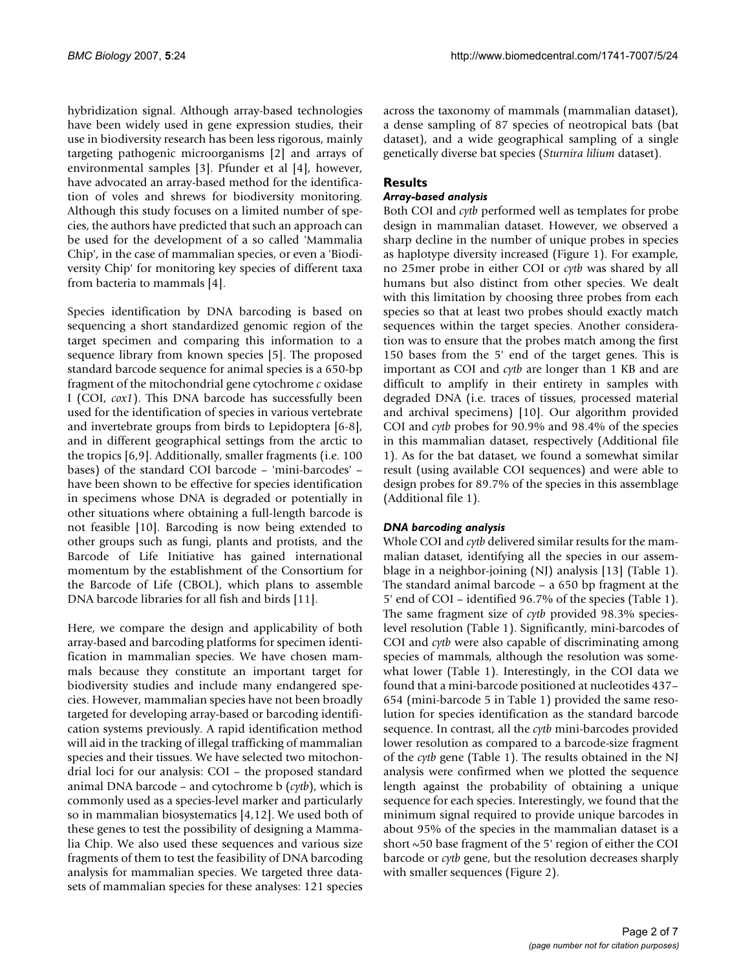hybridization signal. Although array-based technologies have been widely used in gene expression studies, their use in biodiversity research has been less rigorous, mainly targeting pathogenic microorganisms [2] and arrays of environmental samples [3]. Pfunder et al [4], however, have advocated an array-based method for the identification of voles and shrews for biodiversity monitoring. Although this study focuses on a limited number of species, the authors have predicted that such an approach can be used for the development of a so called 'Mammalia Chip', in the case of mammalian species, or even a 'Biodiversity Chip' for monitoring key species of different taxa from bacteria to mammals [4].

Species identification by DNA barcoding is based on sequencing a short standardized genomic region of the target specimen and comparing this information to a sequence library from known species [5]. The proposed standard barcode sequence for animal species is a 650-bp fragment of the mitochondrial gene cytochrome *c* oxidase I (COI, *cox1*). This DNA barcode has successfully been used for the identification of species in various vertebrate and invertebrate groups from birds to Lepidoptera [6-8], and in different geographical settings from the arctic to the tropics [6,9]. Additionally, smaller fragments (i.e. 100 bases) of the standard COI barcode – 'mini-barcodes' – have been shown to be effective for species identification in specimens whose DNA is degraded or potentially in other situations where obtaining a full-length barcode is not feasible [10]. Barcoding is now being extended to other groups such as fungi, plants and protists, and the Barcode of Life Initiative has gained international momentum by the establishment of the Consortium for the Barcode of Life (CBOL), which plans to assemble DNA barcode libraries for all fish and birds [11].

Here, we compare the design and applicability of both array-based and barcoding platforms for specimen identification in mammalian species. We have chosen mammals because they constitute an important target for biodiversity studies and include many endangered species. However, mammalian species have not been broadly targeted for developing array-based or barcoding identification systems previously. A rapid identification method will aid in the tracking of illegal trafficking of mammalian species and their tissues. We have selected two mitochondrial loci for our analysis: COI – the proposed standard animal DNA barcode – and cytochrome b (*cytb*), which is commonly used as a species-level marker and particularly so in mammalian biosystematics [4,12]. We used both of these genes to test the possibility of designing a Mammalia Chip. We also used these sequences and various size fragments of them to test the feasibility of DNA barcoding analysis for mammalian species. We targeted three datasets of mammalian species for these analyses: 121 species

across the taxonomy of mammals (mammalian dataset), a dense sampling of 87 species of neotropical bats (bat dataset), and a wide geographical sampling of a single genetically diverse bat species (*Sturnira lilium* dataset).

# **Results**

## *Array-based analysis*

Both COI and *cytb* performed well as templates for probe design in mammalian dataset. However, we observed a sharp decline in the number of unique probes in species as haplotype diversity increased (Figure 1). For example, no 25mer probe in either COI or *cytb* was shared by all humans but also distinct from other species. We dealt with this limitation by choosing three probes from each species so that at least two probes should exactly match sequences within the target species. Another consideration was to ensure that the probes match among the first 150 bases from the 5' end of the target genes. This is important as COI and *cytb* are longer than 1 KB and are difficult to amplify in their entirety in samples with degraded DNA (i.e. traces of tissues, processed material and archival specimens) [10]. Our algorithm provided COI and *cytb* probes for 90.9% and 98.4% of the species in this mammalian dataset, respectively (Additional file 1). As for the bat dataset, we found a somewhat similar result (using available COI sequences) and were able to design probes for 89.7% of the species in this assemblage (Additional file 1).

# *DNA barcoding analysis*

Whole COI and *cytb* delivered similar results for the mammalian dataset, identifying all the species in our assemblage in a neighbor-joining (NJ) analysis [13] (Table 1). The standard animal barcode – a 650 bp fragment at the 5' end of COI – identified 96.7% of the species (Table 1). The same fragment size of *cytb* provided 98.3% specieslevel resolution (Table 1). Significantly, mini-barcodes of COI and *cytb* were also capable of discriminating among species of mammals, although the resolution was somewhat lower (Table 1). Interestingly, in the COI data we found that a mini-barcode positioned at nucleotides 437– 654 (mini-barcode 5 in Table 1) provided the same resolution for species identification as the standard barcode sequence. In contrast, all the *cytb* mini-barcodes provided lower resolution as compared to a barcode-size fragment of the *cytb* gene (Table 1). The results obtained in the NJ analysis were confirmed when we plotted the sequence length against the probability of obtaining a unique sequence for each species. Interestingly, we found that the minimum signal required to provide unique barcodes in about 95% of the species in the mammalian dataset is a short  $~50$  base fragment of the 5' region of either the COI barcode or *cytb* gene, but the resolution decreases sharply with smaller sequences (Figure 2).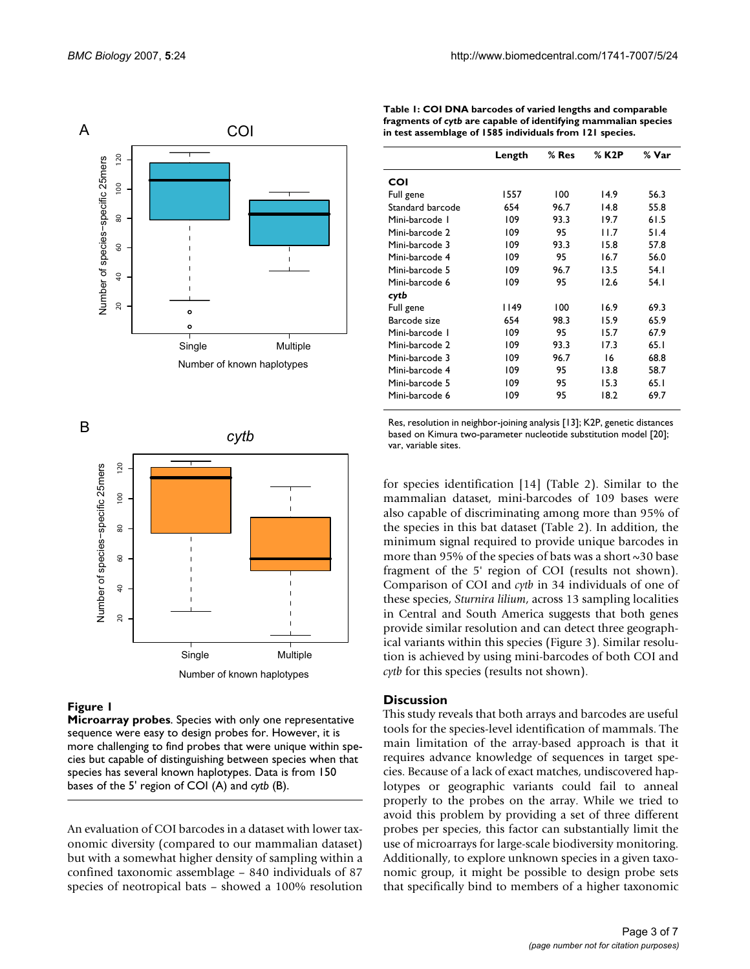



# **Figure 1**

**Microarray probes**. Species with only one representative sequence were easy to design probes for. However, it is more challenging to find probes that were unique within species but capable of distinguishing between species when that species has several known haplotypes. Data is from 150 bases of the 5' region of COI (A) and *cytb* (B).

An evaluation of COI barcodes in a dataset with lower taxonomic diversity (compared to our mammalian dataset) but with a somewhat higher density of sampling within a confined taxonomic assemblage – 840 individuals of 87 species of neotropical bats – showed a 100% resolution

| Table 1: COI DNA barcodes of varied lengths and comparable     |
|----------------------------------------------------------------|
| fragments of cytb are capable of identifying mammalian species |
| in test assemblage of 1585 individuals from 121 species.       |

|                  | Length | % Res | % K2P | % Var |
|------------------|--------|-------|-------|-------|
| COI              |        |       |       |       |
| Full gene        | 1557   | 100   | 14.9  | 56.3  |
| Standard barcode | 654    | 96.7  | 14.8  | 55.8  |
| Mini-barcode I   | 109    | 93.3  | 19.7  | 61.5  |
| Mini-barcode 2   | 109    | 95    | 11.7  | 51.4  |
| Mini-barcode 3   | 109    | 93.3  | 15.8  | 57.8  |
| Mini-barcode 4   | 109    | 95    | 16.7  | 56.0  |
| Mini-barcode 5   | 109    | 96.7  | 13.5  | 54.1  |
| Mini-barcode 6   | 109    | 95    | 12.6  | 54.1  |
| cytb             |        |       |       |       |
| Full gene        | l 149  | 100   | 16.9  | 69.3  |
| Barcode size     | 654    | 98.3  | 15.9  | 65.9  |
| Mini-barcode I   | 109    | 95    | 15.7  | 67.9  |
| Mini-barcode 2   | 109    | 93.3  | 17.3  | 65.1  |
| Mini-barcode 3   | 109    | 96.7  | 16    | 68.8  |
| Mini-barcode 4   | 109    | 95    | 13.8  | 58.7  |
| Mini-barcode 5   | 109    | 95    | 15.3  | 65.1  |
| Mini-barcode 6   | 109    | 95    | 18.2  | 69.7  |
|                  |        |       |       |       |

Res, resolution in neighbor-joining analysis [13]; K2P, genetic distances based on Kimura two-parameter nucleotide substitution model [20]; var, variable sites.

for species identification [14] (Table 2). Similar to the mammalian dataset, mini-barcodes of 109 bases were also capable of discriminating among more than 95% of the species in this bat dataset (Table 2). In addition, the minimum signal required to provide unique barcodes in more than 95% of the species of bats was a short ~30 base fragment of the 5' region of COI (results not shown). Comparison of COI and *cytb* in 34 individuals of one of these species, *Sturnira lilium*, across 13 sampling localities in Central and South America suggests that both genes provide similar resolution and can detect three geographical variants within this species (Figure 3). Similar resolution is achieved by using mini-barcodes of both COI and *cytb* for this species (results not shown).

## **Discussion**

This study reveals that both arrays and barcodes are useful tools for the species-level identification of mammals. The main limitation of the array-based approach is that it requires advance knowledge of sequences in target species. Because of a lack of exact matches, undiscovered haplotypes or geographic variants could fail to anneal properly to the probes on the array. While we tried to avoid this problem by providing a set of three different probes per species, this factor can substantially limit the use of microarrays for large-scale biodiversity monitoring. Additionally, to explore unknown species in a given taxonomic group, it might be possible to design probe sets that specifically bind to members of a higher taxonomic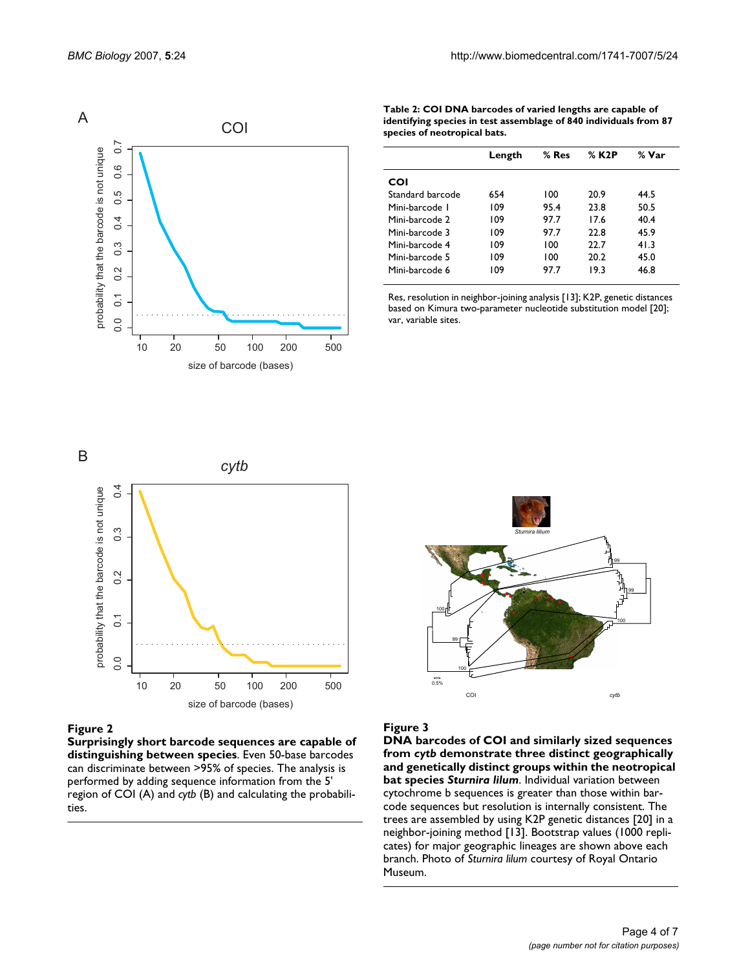

**Table 2: COI DNA barcodes of varied lengths are capable of identifying species in test assemblage of 840 individuals from 87 species of neotropical bats.**

|                  | Length | % Res | % K2P | % Var |
|------------------|--------|-------|-------|-------|
| COI              |        |       |       |       |
| Standard barcode | 654    | 100   | 20.9  | 44.5  |
| Mini-barcode I   | 109    | 95.4  | 23.8  | 50.5  |
| Mini-barcode 2   | 109    | 97.7  | 17.6  | 40.4  |
| Mini-barcode 3   | 109    | 97.7  | 22.8  | 45.9  |
| Mini-barcode 4   | 109    | 100   | 22.7  | 41.3  |
| Mini-barcode 5   | 109    | 100   | 20.2  | 45.0  |
| Mini-barcode 6   | 109    | 97.7  | 19.3  | 46.8  |

Res, resolution in neighbor-joining analysis [13]; K2P, genetic distances based on Kimura two-parameter nucleotide substitution model [20]; var, variable sites.

520

*Sturnira lilium* 



#### **Figure 2**

**Surprisingly short barcode sequences are capable of distinguishing between species**. Even 50-base barcodes can discriminate between >95% of species. The analysis is performed by adding sequence information from the 5' region of COI (A) and *cytb* (B) and calculating the probabilities.

## Figure 3

 $0.5%$ 

<u>100</u>

100

99

**DNA barcodes of COI and similarly sized sequences from** *cytb* **demonstrate three distinct geographically and genetically distinct groups within the neotropical bat species** *Sturnira lilum*. Individual variation between cytochrome b sequences is greater than those within barcode sequences but resolution is internally consistent. The trees are assembled by using K2P genetic distances [20] in a neighbor-joining method [13]. Bootstrap values (1000 replicates) for major geographic lineages are shown above each branch. Photo of *Sturnira lilum* courtesy of Royal Ontario Museum.

 $\mathsf{COI}$  and  $\mathsf{C}\mathsf{OI}$  and  $\mathsf{C}\mathsf{V}\mathsf{I}\mathsf{b}$ 

99

<u>99</u>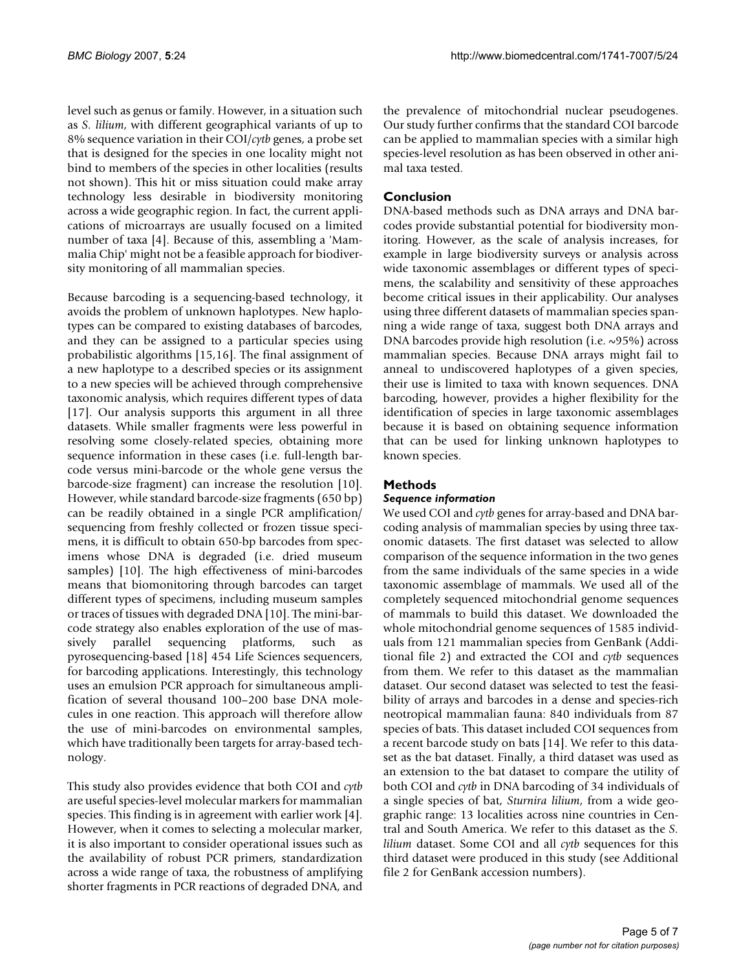level such as genus or family. However, in a situation such as *S. lilium*, with different geographical variants of up to 8% sequence variation in their COI/*cytb* genes, a probe set that is designed for the species in one locality might not bind to members of the species in other localities (results not shown). This hit or miss situation could make array technology less desirable in biodiversity monitoring across a wide geographic region. In fact, the current applications of microarrays are usually focused on a limited number of taxa [4]. Because of this, assembling a 'Mammalia Chip' might not be a feasible approach for biodiversity monitoring of all mammalian species.

Because barcoding is a sequencing-based technology, it avoids the problem of unknown haplotypes. New haplotypes can be compared to existing databases of barcodes, and they can be assigned to a particular species using probabilistic algorithms [15,16]. The final assignment of a new haplotype to a described species or its assignment to a new species will be achieved through comprehensive taxonomic analysis, which requires different types of data [17]. Our analysis supports this argument in all three datasets. While smaller fragments were less powerful in resolving some closely-related species, obtaining more sequence information in these cases (i.e. full-length barcode versus mini-barcode or the whole gene versus the barcode-size fragment) can increase the resolution [10]. However, while standard barcode-size fragments (650 bp) can be readily obtained in a single PCR amplification/ sequencing from freshly collected or frozen tissue specimens, it is difficult to obtain 650-bp barcodes from specimens whose DNA is degraded (i.e. dried museum samples) [10]. The high effectiveness of mini-barcodes means that biomonitoring through barcodes can target different types of specimens, including museum samples or traces of tissues with degraded DNA [10]. The mini-barcode strategy also enables exploration of the use of massively parallel sequencing platforms, such as pyrosequencing-based [18] 454 Life Sciences sequencers, for barcoding applications. Interestingly, this technology uses an emulsion PCR approach for simultaneous amplification of several thousand 100–200 base DNA molecules in one reaction. This approach will therefore allow the use of mini-barcodes on environmental samples, which have traditionally been targets for array-based technology.

This study also provides evidence that both COI and *cytb* are useful species-level molecular markers for mammalian species. This finding is in agreement with earlier work [4]. However, when it comes to selecting a molecular marker, it is also important to consider operational issues such as the availability of robust PCR primers, standardization across a wide range of taxa, the robustness of amplifying shorter fragments in PCR reactions of degraded DNA, and

the prevalence of mitochondrial nuclear pseudogenes. Our study further confirms that the standard COI barcode can be applied to mammalian species with a similar high species-level resolution as has been observed in other animal taxa tested.

# **Conclusion**

DNA-based methods such as DNA arrays and DNA barcodes provide substantial potential for biodiversity monitoring. However, as the scale of analysis increases, for example in large biodiversity surveys or analysis across wide taxonomic assemblages or different types of specimens, the scalability and sensitivity of these approaches become critical issues in their applicability. Our analyses using three different datasets of mammalian species spanning a wide range of taxa, suggest both DNA arrays and DNA barcodes provide high resolution (i.e. ~95%) across mammalian species. Because DNA arrays might fail to anneal to undiscovered haplotypes of a given species, their use is limited to taxa with known sequences. DNA barcoding, however, provides a higher flexibility for the identification of species in large taxonomic assemblages because it is based on obtaining sequence information that can be used for linking unknown haplotypes to known species.

## **Methods**

## *Sequence information*

We used COI and *cytb* genes for array-based and DNA barcoding analysis of mammalian species by using three taxonomic datasets. The first dataset was selected to allow comparison of the sequence information in the two genes from the same individuals of the same species in a wide taxonomic assemblage of mammals. We used all of the completely sequenced mitochondrial genome sequences of mammals to build this dataset. We downloaded the whole mitochondrial genome sequences of 1585 individuals from 121 mammalian species from GenBank (Additional file 2) and extracted the COI and *cytb* sequences from them. We refer to this dataset as the mammalian dataset. Our second dataset was selected to test the feasibility of arrays and barcodes in a dense and species-rich neotropical mammalian fauna: 840 individuals from 87 species of bats. This dataset included COI sequences from a recent barcode study on bats [14]. We refer to this dataset as the bat dataset. Finally, a third dataset was used as an extension to the bat dataset to compare the utility of both COI and *cytb* in DNA barcoding of 34 individuals of a single species of bat, *Sturnira lilium*, from a wide geographic range: 13 localities across nine countries in Central and South America. We refer to this dataset as the *S. lilium* dataset. Some COI and all *cytb* sequences for this third dataset were produced in this study (see Additional file 2 for GenBank accession numbers).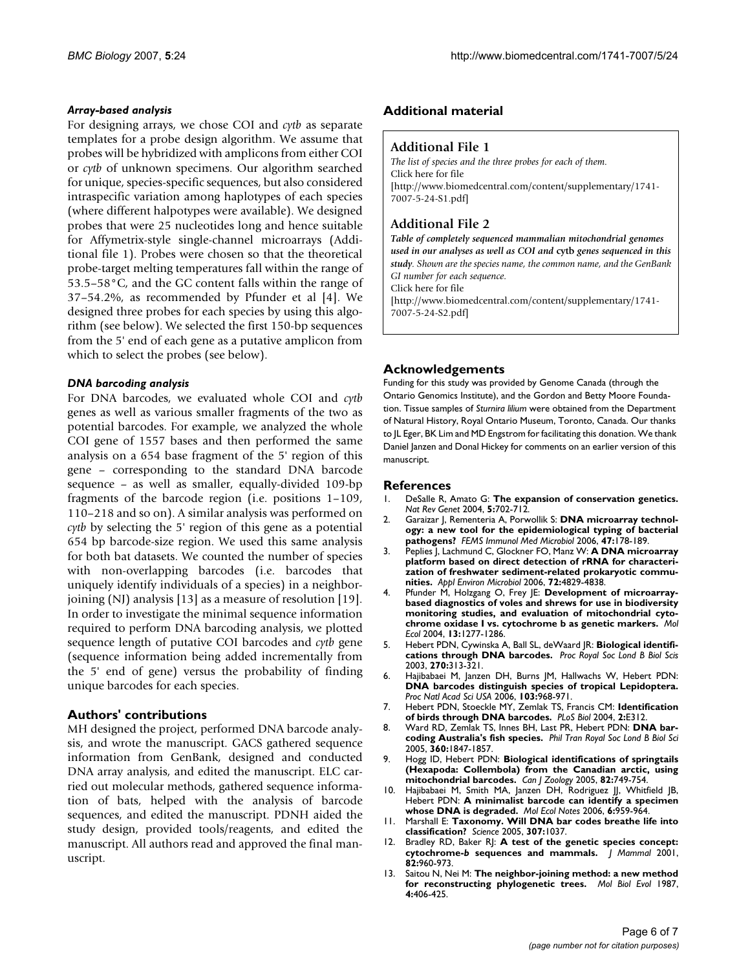#### *Array-based analysis*

For designing arrays, we chose COI and *cytb* as separate templates for a probe design algorithm. We assume that probes will be hybridized with amplicons from either COI or *cytb* of unknown specimens. Our algorithm searched for unique, species-specific sequences, but also considered intraspecific variation among haplotypes of each species (where different halpotypes were available). We designed probes that were 25 nucleotides long and hence suitable for Affymetrix-style single-channel microarrays (Additional file 1). Probes were chosen so that the theoretical probe-target melting temperatures fall within the range of 53.5–58°C, and the GC content falls within the range of 37–54.2%, as recommended by Pfunder et al [4]. We designed three probes for each species by using this algorithm (see below). We selected the first 150-bp sequences from the 5' end of each gene as a putative amplicon from which to select the probes (see below).

#### *DNA barcoding analysis*

For DNA barcodes, we evaluated whole COI and *cytb* genes as well as various smaller fragments of the two as potential barcodes. For example, we analyzed the whole COI gene of 1557 bases and then performed the same analysis on a 654 base fragment of the 5' region of this gene – corresponding to the standard DNA barcode sequence – as well as smaller, equally-divided 109-bp fragments of the barcode region (i.e. positions 1–109, 110–218 and so on). A similar analysis was performed on *cytb* by selecting the 5' region of this gene as a potential 654 bp barcode-size region. We used this same analysis for both bat datasets. We counted the number of species with non-overlapping barcodes (i.e. barcodes that uniquely identify individuals of a species) in a neighborjoining (NJ) analysis [13] as a measure of resolution [19]. In order to investigate the minimal sequence information required to perform DNA barcoding analysis, we plotted sequence length of putative COI barcodes and *cytb* gene (sequence information being added incrementally from the 5' end of gene) versus the probability of finding unique barcodes for each species.

## **Authors' contributions**

MH designed the project, performed DNA barcode analysis, and wrote the manuscript. GACS gathered sequence information from GenBank, designed and conducted DNA array analysis, and edited the manuscript. ELC carried out molecular methods, gathered sequence information of bats, helped with the analysis of barcode sequences, and edited the manuscript. PDNH aided the study design, provided tools/reagents, and edited the manuscript. All authors read and approved the final manuscript.

## **Additional material**

#### **Additional File 1**

*The list of species and the three probes for each of them.* Click here for file [\[http://www.biomedcentral.com/content/supplementary/1741-](http://www.biomedcentral.com/content/supplementary/1741-7007-5-24-S1.pdf) 7007-5-24-S1.pdf]

## **Additional File 2**

*Table of completely sequenced mammalian mitochondrial genomes used in our analyses as well as COI and* **cytb** *genes sequenced in this study. Shown are the species name, the common name, and the GenBank GI number for each sequence.* Click here for file [\[http://www.biomedcentral.com/content/supplementary/1741-](http://www.biomedcentral.com/content/supplementary/1741-7007-5-24-S2.pdf) 7007-5-24-S2.pdf]

## **Acknowledgements**

Funding for this study was provided by Genome Canada (through the Ontario Genomics Institute), and the Gordon and Betty Moore Foundation. Tissue samples of *Sturnira lilium* were obtained from the Department of Natural History, Royal Ontario Museum, Toronto, Canada. Our thanks to JL Eger, BK Lim and MD Engstrom for facilitating this donation. We thank Daniel Janzen and Donal Hickey for comments on an earlier version of this manuscript.

#### **References**

- 1. DeSalle R, Amato G: **[The expansion of conservation genetics.](http://www.ncbi.nlm.nih.gov/entrez/query.fcgi?cmd=Retrieve&db=PubMed&dopt=Abstract&list_uids=15372093)** *Nat Rev Genet* 2004, **5:**702-712.
- 2. Garaizar J, Rementeria A, Porwollik S: **[DNA microarray technol](http://www.ncbi.nlm.nih.gov/entrez/query.fcgi?cmd=Retrieve&db=PubMed&dopt=Abstract&list_uids=16831204)[ogy: a new tool for the epidemiological typing of bacterial](http://www.ncbi.nlm.nih.gov/entrez/query.fcgi?cmd=Retrieve&db=PubMed&dopt=Abstract&list_uids=16831204) [pathogens?](http://www.ncbi.nlm.nih.gov/entrez/query.fcgi?cmd=Retrieve&db=PubMed&dopt=Abstract&list_uids=16831204)** *FEMS Immunol Med Microbiol* 2006, **47:**178-189.
- 3. Peplies J, Lachmund C, Glockner FO, Manz W: **[A DNA microarray](http://www.ncbi.nlm.nih.gov/entrez/query.fcgi?cmd=Retrieve&db=PubMed&dopt=Abstract&list_uids=16820477) platform based on direct detection of rRNA for characteri[zation of freshwater sediment-related prokaryotic commu](http://www.ncbi.nlm.nih.gov/entrez/query.fcgi?cmd=Retrieve&db=PubMed&dopt=Abstract&list_uids=16820477)[nities.](http://www.ncbi.nlm.nih.gov/entrez/query.fcgi?cmd=Retrieve&db=PubMed&dopt=Abstract&list_uids=16820477)** *Appl Environ Microbiol* 2006, **72:**4829-4838.
- 4. Pfunder M, Holzgang O, Frey JE: **[Development of microarray](http://www.ncbi.nlm.nih.gov/entrez/query.fcgi?cmd=Retrieve&db=PubMed&dopt=Abstract&list_uids=15078463)based diagnostics of voles and shrews for use in biodiversity [monitoring studies, and evaluation of mitochondrial cyto](http://www.ncbi.nlm.nih.gov/entrez/query.fcgi?cmd=Retrieve&db=PubMed&dopt=Abstract&list_uids=15078463)[chrome oxidase I vs. cytochrome b as genetic markers.](http://www.ncbi.nlm.nih.gov/entrez/query.fcgi?cmd=Retrieve&db=PubMed&dopt=Abstract&list_uids=15078463)** *Mol Ecol* 2004, **13:**1277-1286.
- 5. Hebert PDN, Cywinska A, Ball SL, deWaard JR: **Biological identifications through DNA barcodes.** *Proc Royal Soc Lond B Biol Scis* 2003, **270:**313-321.
- 6. Hajibabaei M, Janzen DH, Burns JM, Hallwachs W, Hebert PDN: **[DNA barcodes distinguish species of tropical Lepidoptera.](http://www.ncbi.nlm.nih.gov/entrez/query.fcgi?cmd=Retrieve&db=PubMed&dopt=Abstract&list_uids=16418261)** *Proc Natl Acad Sci USA* 2006, **103:**968-971.
- 7. Hebert PDN, Stoeckle MY, Zemlak TS, Francis CM: **[Identification](http://www.ncbi.nlm.nih.gov/entrez/query.fcgi?cmd=Retrieve&db=PubMed&dopt=Abstract&list_uids=15455034) [of birds through DNA barcodes.](http://www.ncbi.nlm.nih.gov/entrez/query.fcgi?cmd=Retrieve&db=PubMed&dopt=Abstract&list_uids=15455034)** *PLoS Biol* 2004, **2:**E312.
- 8. Ward RD, Zemlak TS, Innes BH, Last PR, Hebert PDN: **DNA barcoding Australia's fish species.** *Phil Tran Royal Soc Lond B Biol Sci* 2005, **360:**1847-1857.
- 9. Hogg ID, Hebert PDN: **Biological identifications of springtails (Hexapoda: Collembola) from the Canadian arctic, using mitochondrial barcodes.** *Can J Zoology* 2005, **82:**749-754.
- 10. Hajibabaei M, Smith MA, Janzen DH, Rodriguez JJ, Whitfield JB, Hebert PDN: **A minimalist barcode can identify a specimen whose DNA is degraded.** *Mol Ecol Notes* 2006, **6:**959-964.
- 11. Marshall E: **[Taxonomy. Will DNA bar codes breathe life into](http://www.ncbi.nlm.nih.gov/entrez/query.fcgi?cmd=Retrieve&db=PubMed&dopt=Abstract&list_uids=15718446) [classification?](http://www.ncbi.nlm.nih.gov/entrez/query.fcgi?cmd=Retrieve&db=PubMed&dopt=Abstract&list_uids=15718446)** *Science* 2005, **307:**1037.
- 12. Bradley RD, Baker RJ: **A test of the genetic species concept: cytochrome-***b* **sequences and mammals.** *J Mammal* 2001, **82:**960-973.
- 13. Saitou N, Nei M: **[The neighbor-joining method: a new method](http://www.ncbi.nlm.nih.gov/entrez/query.fcgi?cmd=Retrieve&db=PubMed&dopt=Abstract&list_uids=3447015) [for reconstructing phylogenetic trees.](http://www.ncbi.nlm.nih.gov/entrez/query.fcgi?cmd=Retrieve&db=PubMed&dopt=Abstract&list_uids=3447015)** *Mol Biol Evol* 1987, **4:**406-425.